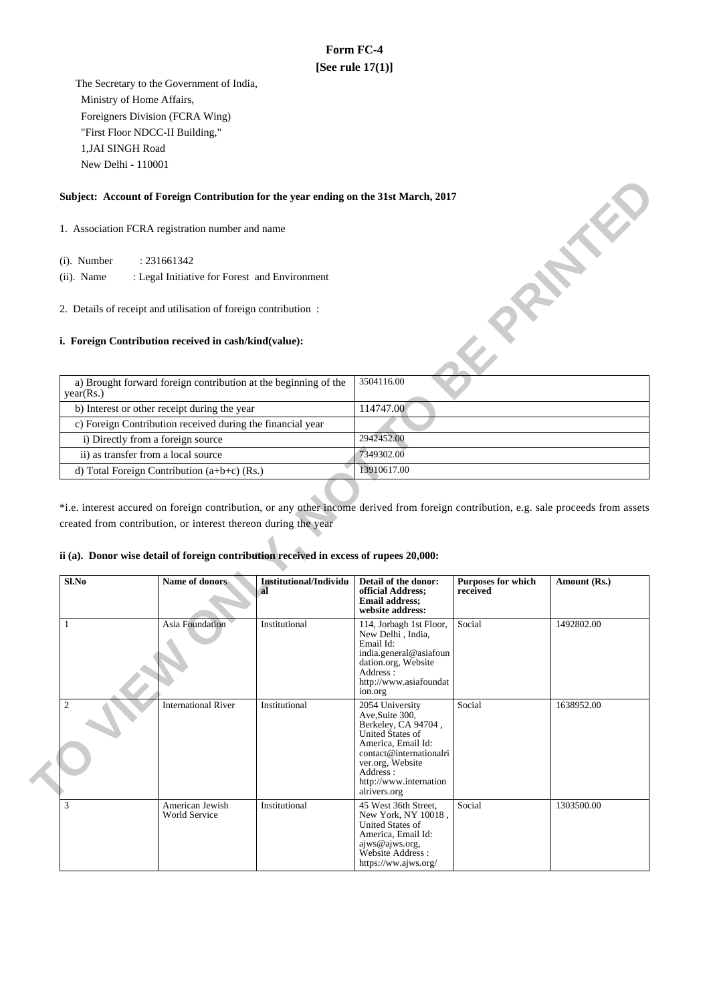# **Form FC-4 [See rule 17(1)]**

 The Secretary to the Government of India, Ministry of Home Affairs, Foreigners Division (FCRA Wing) "First Floor NDCC-II Building," 1,JAI SINGH Road New Delhi - 110001

## **Subject: Account of Foreign Contribution for the year ending on the 31st March, 2017**

- 1. Association FCRA registration number and name
	- $(i)$ . Number
	- : Legal Initiative for Forest and Environment
- 2. Details of receipt and utilisation of foreign contribution :

### **i. Foreign Contribution received in cash/kind(value):**

| Subject: Account of Foreign Contribution for the year ending on the 31st March, 2017 |             |  |  |  |  |
|--------------------------------------------------------------------------------------|-------------|--|--|--|--|
| 1. Association FCRA registration number and name                                     |             |  |  |  |  |
| (i). Number<br>: 231661342                                                           |             |  |  |  |  |
| $(ii)$ . Name<br>: Legal Initiative for Forest and Environment                       |             |  |  |  |  |
| 2. Details of receipt and utilisation of foreign contribution:                       |             |  |  |  |  |
| <i>i.</i> Foreign Contribution received in cash/kind(value):                         |             |  |  |  |  |
| a) Brought forward foreign contribution at the beginning of the<br>year(Rs.)         | 3504116.00  |  |  |  |  |
| b) Interest or other receipt during the year                                         | 114747.00   |  |  |  |  |
| c) Foreign Contribution received during the financial year                           |             |  |  |  |  |
| i) Directly from a foreign source                                                    | 2942452.00  |  |  |  |  |
| ii) as transfer from a local source                                                  | 7349302.00  |  |  |  |  |
| d) Total Foreign Contribution (a+b+c) (Rs.)                                          | 13910617.00 |  |  |  |  |

\*i.e. interest accured on foreign contribution, or any other income derived from foreign contribution, e.g. sale proceeds from assets created from contribution, or interest thereon during the year

### **ii (a). Donor wise detail of foreign contribution received in excess of rupees 20,000:**

| Sl.No          | Name of donors                   | Institutional/Individu<br>-al | Detail of the donor:<br>official Address;<br><b>Email address:</b><br>website address:                                                                                                                   | <b>Purposes for which</b><br>received | Amount (Rs.) |
|----------------|----------------------------------|-------------------------------|----------------------------------------------------------------------------------------------------------------------------------------------------------------------------------------------------------|---------------------------------------|--------------|
|                | <b>Asia Foundation</b>           | Institutional                 | 114, Jorbagh 1st Floor,<br>New Delhi, India,<br>Email Id:<br>india.general@asiafoun<br>dation.org, Website<br>Address:<br>http://www.asiafoundat<br>ion.org                                              | Social                                | 1492802.00   |
| $\overline{2}$ | <b>International River</b>       | Institutional                 | 2054 University<br>Ave, Suite 300,<br>Berkeley, CA 94704,<br>United States of<br>America, Email Id:<br>contact@internationalri<br>ver.org, Website<br>Address:<br>http://www.internation<br>alrivers.org | Social                                | 1638952.00   |
| 3              | American Jewish<br>World Service | Institutional                 | 45 West 36th Street,<br>New York, NY 10018,<br>United States of<br>America, Email Id:<br>ajws@ajws.org,<br>Website Address:<br>https://ww.ajws.org/                                                      | Social                                | 1303500.00   |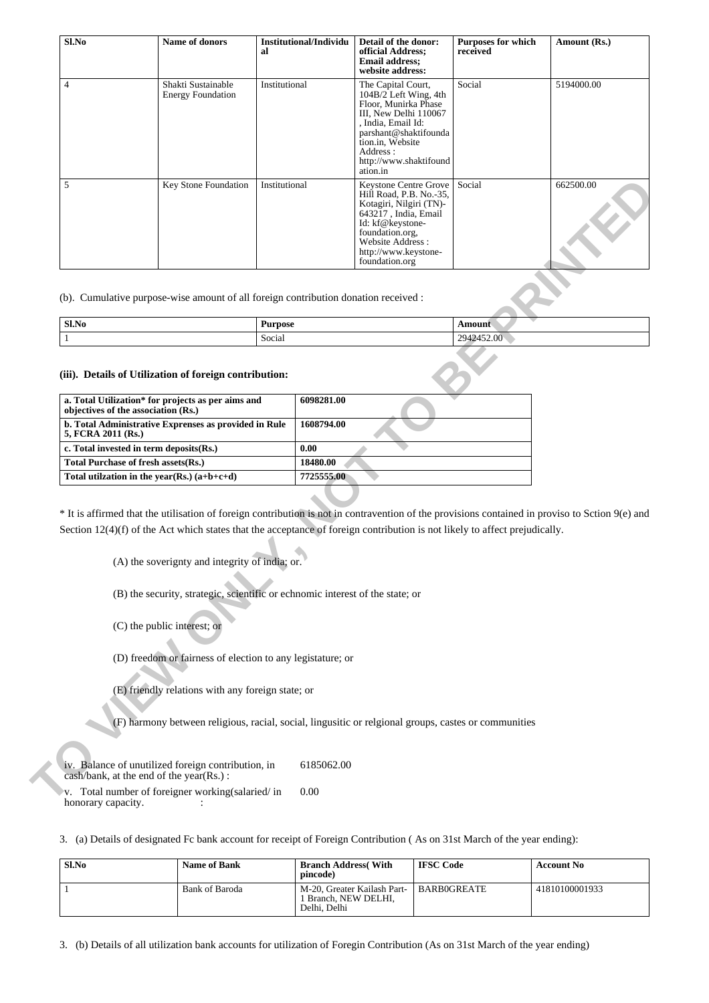| Sl.No              | Name of donors                                                                                                                                                                                                                                                                                                                    | al             | <b>Institutional/Individu</b>  | Detail of the donor:<br>official Address;<br><b>Email address;</b><br>website address:                                                                                                                            | <b>Purposes for which</b><br>received | Amount (Rs.) |  |
|--------------------|-----------------------------------------------------------------------------------------------------------------------------------------------------------------------------------------------------------------------------------------------------------------------------------------------------------------------------------|----------------|--------------------------------|-------------------------------------------------------------------------------------------------------------------------------------------------------------------------------------------------------------------|---------------------------------------|--------------|--|
| $\overline{4}$     | Shakti Sustainable<br><b>Energy Foundation</b>                                                                                                                                                                                                                                                                                    | Institutional  |                                | The Capital Court,<br>104B/2 Left Wing, 4th<br>Floor, Munirka Phase<br>III, New Delhi 110067<br>, India, Email Id:<br>parshant@shaktifounda<br>tion.in, Website<br>Address:<br>http://www.shaktifound<br>ation.in | Social                                | 5194000.00   |  |
| 5                  | Key Stone Foundation<br>Institutional<br>643217, India, Email<br>Id: kf@keystone-<br>foundation.org,<br>Website Address :<br>http://www.keystone-<br>foundation.org                                                                                                                                                               |                |                                | Keystone Centre Grove<br>Hill Road, P.B. No.-35,<br>Kotagiri, Nilgiri (TN)-                                                                                                                                       | Social                                | 662500.00    |  |
|                    | (b). Cumulative purpose-wise amount of all foreign contribution donation received :                                                                                                                                                                                                                                               |                |                                |                                                                                                                                                                                                                   |                                       |              |  |
| Sl.No              |                                                                                                                                                                                                                                                                                                                                   | <b>Purpose</b> |                                |                                                                                                                                                                                                                   | Amount                                |              |  |
| 1                  |                                                                                                                                                                                                                                                                                                                                   | Social         |                                |                                                                                                                                                                                                                   | 2942452.00                            |              |  |
| 5, FCRA 2011 (Rs.) | c. Total invested in term deposits(Rs.)<br>Total Purchase of fresh assets(Rs.)                                                                                                                                                                                                                                                    |                | 0.00<br>18480.00<br>7725555.00 |                                                                                                                                                                                                                   |                                       |              |  |
|                    | Total utilization in the year(Rs.) $(a+b+c+d)$                                                                                                                                                                                                                                                                                    |                |                                |                                                                                                                                                                                                                   |                                       |              |  |
|                    | * It is affirmed that the utilisation of foreign contribution is not in contravention of the provisions contained in proviso to Sction 9(e) and<br>Section $12(4)(f)$ of the Act which states that the acceptance of foreign contribution is not likely to affect prejudically.<br>(A) the soverignty and integrity of india; or. |                |                                |                                                                                                                                                                                                                   |                                       |              |  |
|                    | (B) the security, strategic, scientific or echnomic interest of the state; or                                                                                                                                                                                                                                                     |                |                                |                                                                                                                                                                                                                   |                                       |              |  |
|                    | (C) the public interest; or                                                                                                                                                                                                                                                                                                       |                |                                |                                                                                                                                                                                                                   |                                       |              |  |
|                    | (D) freedom or fairness of election to any legistature; or                                                                                                                                                                                                                                                                        |                |                                |                                                                                                                                                                                                                   |                                       |              |  |
|                    | (E) friendly relations with any foreign state; or                                                                                                                                                                                                                                                                                 |                |                                |                                                                                                                                                                                                                   |                                       |              |  |
|                    | (F) harmony between religious, racial, social, lingusitic or relgional groups, castes or communities                                                                                                                                                                                                                              |                |                                |                                                                                                                                                                                                                   |                                       |              |  |
|                    | iv. Balance of unutilized foreign contribution, in<br>cash/bank, at the end of the year(Rs.):                                                                                                                                                                                                                                     |                | 6185062.00                     |                                                                                                                                                                                                                   |                                       |              |  |
|                    | v. Total number of foreigner working(salaried/in                                                                                                                                                                                                                                                                                  |                | 0.00                           |                                                                                                                                                                                                                   |                                       |              |  |

| Sl.No | <b>Purpose</b> | Amount                                               |
|-------|----------------|------------------------------------------------------|
|       | Social<br>.    | $.452.00^{-8}$<br>$\sim$ $\sim$ $\sim$ $\sim$ $\sim$ |

#### **(iii). Details of Utilization of foreign contribution:**

| a. Total Utilization* for projects as per aims and<br>objectives of the association (Rs.) | 6098281.00 |
|-------------------------------------------------------------------------------------------|------------|
| b. Total Administrative Exprenses as provided in Rule<br>5, FCRA 2011 (Rs.)               | 1608794.00 |
| c. Total invested in term deposits $(Rs.)$                                                | 0.00       |
| Total Purchase of fresh assets (Rs.)                                                      | 18480.00   |
| Total utilization in the year(Rs.) $(a+b+c+d)$                                            | 7725555.00 |

v. Total number of foreigner working(salaried/ in honorary capacity.  $\qquad \qquad$  : 0.00

3. (a) Details of designated Fc bank account for receipt of Foreign Contribution ( As on 31st March of the year ending):

| Sl.No | <b>Name of Bank</b> | <b>Branch Address</b> (With<br>pincode)                           | <b>IFSC Code</b>   | <b>Account No</b> |
|-------|---------------------|-------------------------------------------------------------------|--------------------|-------------------|
|       | Bank of Baroda      | M-20, Greater Kailash Part-<br>Branch. NEW DELHI.<br>Delhi. Delhi | <b>BARB0GREATE</b> | 41810100001933    |

3. (b) Details of all utilization bank accounts for utilization of Foregin Contribution (As on 31st March of the year ending)